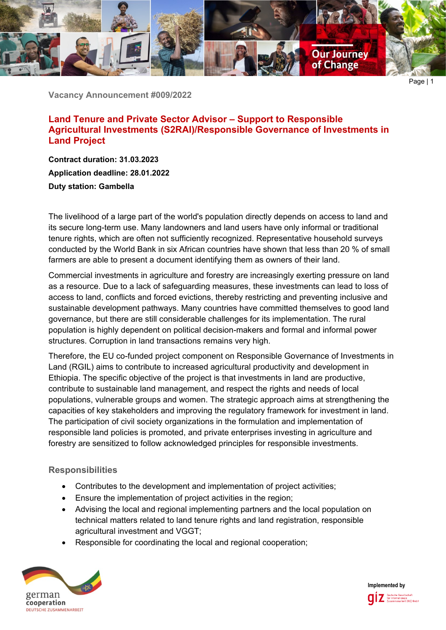

**Vacancy Announcement #009/2022**

**Land Tenure and Private Sector Advisor – Support to Responsible Agricultural Investments (S2RAI)/Responsible Governance of Investments in Land Project**

**Contract duration: 31.03.2023 Application deadline: 28.01.2022 Duty station: Gambella**

The livelihood of a large part of the world's population directly depends on access to land and its secure long-term use. Many landowners and land users have only informal or traditional tenure rights, which are often not sufficiently recognized. Representative household surveys conducted by the World Bank in six African countries have shown that less than 20 % of small farmers are able to present a document identifying them as owners of their land.

Commercial investments in agriculture and forestry are increasingly exerting pressure on land as a resource. Due to a lack of safeguarding measures, these investments can lead to loss of access to land, conflicts and forced evictions, thereby restricting and preventing inclusive and sustainable development pathways. Many countries have committed themselves to good land governance, but there are still considerable challenges for its implementation. The rural population is highly dependent on political decision-makers and formal and informal power structures. Corruption in land transactions remains very high.

Therefore, the EU co-funded project component on Responsible Governance of Investments in Land (RGIL) aims to contribute to increased agricultural productivity and development in Ethiopia. The specific objective of the project is that investments in land are productive, contribute to sustainable land management, and respect the rights and needs of local populations, vulnerable groups and women. The strategic approach aims at strengthening the capacities of key stakeholders and improving the regulatory framework for investment in land. The participation of civil society organizations in the formulation and implementation of responsible land policies is promoted, and private enterprises investing in agriculture and forestry are sensitized to follow acknowledged principles for responsible investments.

#### **Responsibilities**

- Contributes to the development and implementation of project activities;
- Ensure the implementation of project activities in the region;
- Advising the local and regional implementing partners and the local population on technical matters related to land tenure rights and land registration, responsible agricultural investment and VGGT;
- Responsible for coordinating the local and regional cooperation;



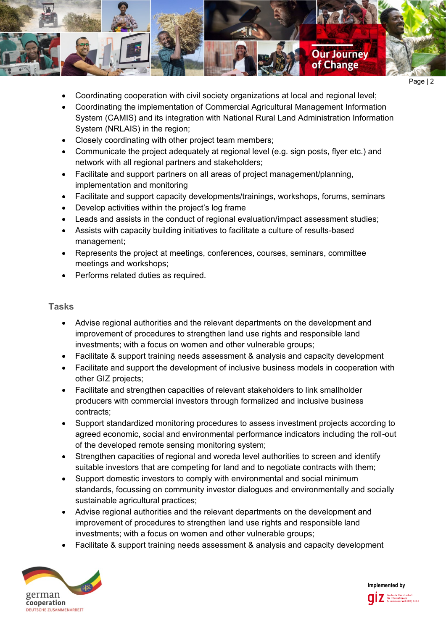

- Coordinating cooperation with civil society organizations at local and regional level;
- Coordinating the implementation of Commercial Agricultural Management Information System (CAMIS) and its integration with National Rural Land Administration Information System (NRLAIS) in the region;
- Closely coordinating with other project team members;
- Communicate the project adequately at regional level (e.g. sign posts, flyer etc.) and network with all regional partners and stakeholders;
- Facilitate and support partners on all areas of project management/planning, implementation and monitoring
- Facilitate and support capacity developments/trainings, workshops, forums, seminars
- Develop activities within the project's log frame
- Leads and assists in the conduct of regional evaluation/impact assessment studies;
- Assists with capacity building initiatives to facilitate a culture of results-based management;
- Represents the project at meetings, conferences, courses, seminars, committee meetings and workshops;
- Performs related duties as required.

## **Tasks**

- Advise regional authorities and the relevant departments on the development and improvement of procedures to strengthen land use rights and responsible land investments; with a focus on women and other vulnerable groups;
- Facilitate & support training needs assessment & analysis and capacity development
- Facilitate and support the development of inclusive business models in cooperation with other GIZ projects;
- Facilitate and strengthen capacities of relevant stakeholders to link smallholder producers with commercial investors through formalized and inclusive business contracts;
- Support standardized monitoring procedures to assess investment projects according to agreed economic, social and environmental performance indicators including the roll-out of the developed remote sensing monitoring system;
- Strengthen capacities of regional and woreda level authorities to screen and identify suitable investors that are competing for land and to negotiate contracts with them;
- Support domestic investors to comply with environmental and social minimum standards, focussing on community investor dialogues and environmentally and socially sustainable agricultural practices;
- Advise regional authorities and the relevant departments on the development and improvement of procedures to strengthen land use rights and responsible land investments; with a focus on women and other vulnerable groups;
- Facilitate & support training needs assessment & analysis and capacity development



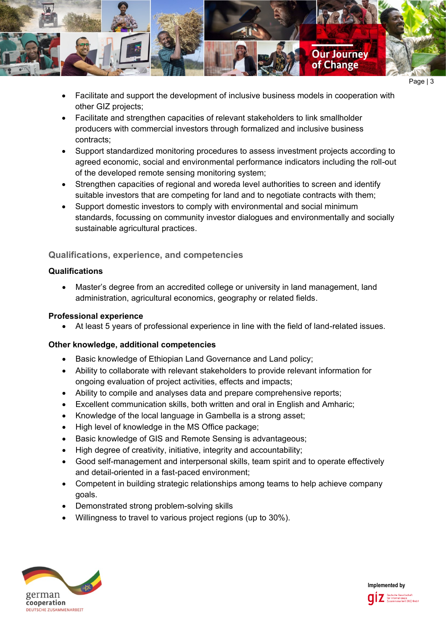

- Page | 3
- Facilitate and support the development of inclusive business models in cooperation with other GIZ projects;
- Facilitate and strengthen capacities of relevant stakeholders to link smallholder producers with commercial investors through formalized and inclusive business contracts;
- Support standardized monitoring procedures to assess investment projects according to agreed economic, social and environmental performance indicators including the roll-out of the developed remote sensing monitoring system;
- Strengthen capacities of regional and woreda level authorities to screen and identify suitable investors that are competing for land and to negotiate contracts with them;
- Support domestic investors to comply with environmental and social minimum standards, focussing on community investor dialogues and environmentally and socially sustainable agricultural practices.

# **Qualifications, experience, and competencies**

### **Qualifications**

• Master's degree from an accredited college or university in land management, land administration, agricultural economics, geography or related fields.

#### **Professional experience**

• At least 5 years of professional experience in line with the field of land-related issues.

## **Other knowledge, additional competencies**

- Basic knowledge of Ethiopian Land Governance and Land policy;
- Ability to collaborate with relevant stakeholders to provide relevant information for ongoing evaluation of project activities, effects and impacts;
- Ability to compile and analyses data and prepare comprehensive reports;
- Excellent communication skills, both written and oral in English and Amharic;
- Knowledge of the local language in Gambella is a strong asset;
- High level of knowledge in the MS Office package;
- Basic knowledge of GIS and Remote Sensing is advantageous:
- High degree of creativity, initiative, integrity and accountability;
- Good self-management and interpersonal skills, team spirit and to operate effectively and detail-oriented in a fast-paced environment;
- Competent in building strategic relationships among teams to help achieve company goals.
- Demonstrated strong problem-solving skills
- Willingness to travel to various project regions (up to 30%).